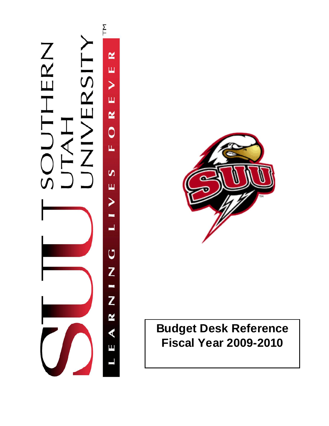



# **Budget Desk Reference Fiscal Year 2009-2010**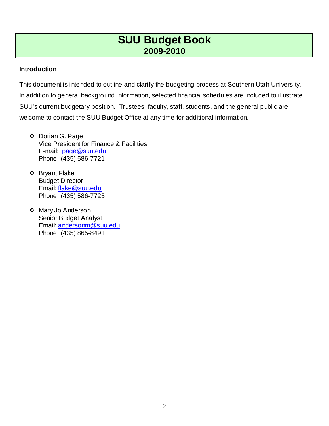#### **Introduction**

This document is intended to outline and clarify the budgeting process at Southern Utah University. In addition to general background information, selected financial schedules are included to illustrate SUU's current budgetary position. Trustees, faculty, staff, students, and the general public are welcome to contact the SUU Budget Office at any time for additional information.

- Dorian G. Page Vice President for Finance & Facilities E-mail: [page@suu.edu](mailto:page@suu.edu) Phone: (435) 586-7721
- Bryant Flake Budget Director Email: [flake@suu.edu](mailto:flake@suu.edu) Phone: (435) 586-7725
- ❖ Mary Jo Anderson Senior Budget Analyst Email: [andersonm@suu.edu](mailto:andersonm@suu.edu) Phone: (435) 865-8491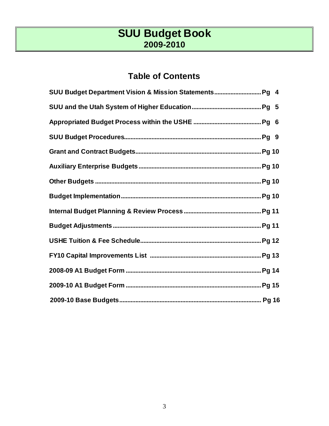### **Table of Contents**

| SUU Budget Department Vision & Mission Statements Pg 4 |  |
|--------------------------------------------------------|--|
|                                                        |  |
|                                                        |  |
|                                                        |  |
|                                                        |  |
|                                                        |  |
|                                                        |  |
|                                                        |  |
|                                                        |  |
|                                                        |  |
|                                                        |  |
|                                                        |  |
|                                                        |  |
|                                                        |  |
|                                                        |  |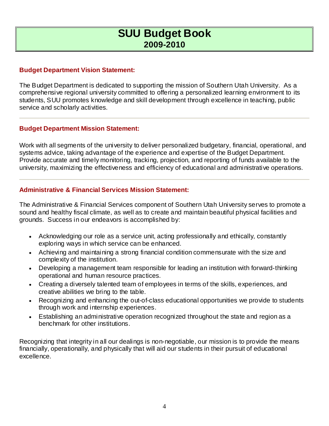#### **Budget Department Vision Statement:**

The Budget Department is dedicated to supporting the mission of Southern Utah University. As a comprehensive regional university committed to offering a personalized learning environment to its students, SUU promotes knowledge and skill development through excellence in teaching, public service and scholarly activities.

#### **Budget Department Mission Statement:**

Work with all segments of the university to deliver personalized budgetary, financial, operational, and systems advice, taking advantage of the experience and expertise of the Budget Department. Provide accurate and timely monitoring, tracking, projection, and reporting of funds available to the university, maximizing the effectiveness and efficiency of educational and administrative operations.

#### **Administrative & Financial Services Mission Statement:**

The Administrative & Financial Services component of Southern Utah University serves to promote a sound and healthy fiscal climate, as well as to create and maintain beautiful physical facilities and grounds. Success in our endeavors is accomplished by:

- Acknowledging our role as a service unit, acting professionally and ethically, constantly exploring ways in which service can be enhanced.
- Achieving and maintaining a strong financial condition commensurate with the size and complexity of the institution.
- Developing a management team responsible for leading an institution with forward-thinking operational and human resource practices.
- Creating a diversely talented team of employees in terms of the skills, experiences, and creative abilities we bring to the table.
- Recognizing and enhancing the out-of-class educational opportunities we provide to students through work and internship experiences.
- Establishing an administrative operation recognized throughout the state and region as a benchmark for other institutions.

Recognizing that integrity in all our dealings is non-negotiable, our mission is to provide the means financially, operationally, and physically that will aid our students in their pursuit of educational excellence.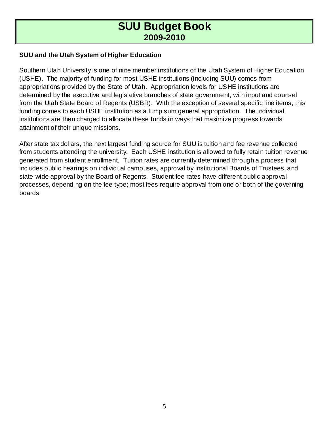### **SUU and the Utah System of Higher Education**

Southern Utah University is one of nine member institutions of the Utah System of Higher Education (USHE). The majority of funding for most USHE institutions (including SUU) comes from appropriations provided by the State of Utah. Appropriation levels for USHE institutions are determined by the executive and legislative branches of state government, with input and counsel from the Utah State Board of Regents (USBR). With the exception of several specific line items, this funding comes to each USHE institution as a lump sum general appropriation. The individual institutions are then charged to allocate these funds in ways that maximize progress towards attainment of their unique missions.

After state tax dollars, the next largest funding source for SUU is tuition and fee revenue collected from students attending the university. Each USHE institution is allowed to fully retain tuition revenue generated from student enrollment. Tuition rates are currently determined through a process that includes public hearings on individual campuses, approval by institutional Boards of Trustees, and state-wide approval by the Board of Regents. Student fee rates have different public approval processes, depending on the fee type; most fees require approval from one or both of the governing boards.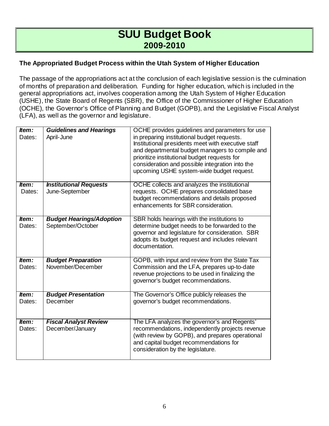### **The Appropriated Budget Process within the Utah System of Higher Education**

The passage of the appropriations act at the conclusion of each legislative session is the culmination of months of preparation and deliberation. Funding for higher education, which is included in the general appropriations act, involves cooperation among the Utah System of Higher Education (USHE), the State Board of Regents (SBR), the Office of the Commissioner of Higher Education (OCHE), the Governor's Office of Planning and Budget (GOPB), and the Legislative Fiscal Analyst (LFA), as well as the governor and legislature.

| Item:<br>Dates: | <b>Guidelines and Hearings</b><br>April-June | OCHE provides guidelines and parameters for use<br>in preparing institutional budget requests. |
|-----------------|----------------------------------------------|------------------------------------------------------------------------------------------------|
|                 |                                              | Institutional presidents meet with executive staff                                             |
|                 |                                              | and departmental budget managers to compile and                                                |
|                 |                                              | prioritize institutional budget requests for                                                   |
|                 |                                              | consideration and possible integration into the<br>upcoming USHE system-wide budget request.   |
|                 |                                              |                                                                                                |
| ltem:           | <b>Institutional Requests</b>                | OCHE collects and analyzes the institutional                                                   |
| Dates:          | June-September                               | requests. OCHE prepares consolidated base                                                      |
|                 |                                              | budget recommendations and details proposed                                                    |
|                 |                                              | enhancements for SBR consideration.                                                            |
| Item:           | <b>Budget Hearings/Adoption</b>              | SBR holds hearings with the institutions to                                                    |
| Dates:          | September/October                            | determine budget needs to be forwarded to the                                                  |
|                 |                                              | governor and legislature for consideration. SBR                                                |
|                 |                                              | adopts its budget request and includes relevant                                                |
|                 |                                              | documentation.                                                                                 |
| Item:           | <b>Budget Preparation</b>                    | GOPB, with input and review from the State Tax                                                 |
| Dates:          | November/December                            | Commission and the LFA, prepares up-to-date                                                    |
|                 |                                              | revenue projections to be used in finalizing the                                               |
|                 |                                              | governor's budget recommendations.                                                             |
| Item:           | <b>Budget Presentation</b>                   | The Governor's Office publicly releases the                                                    |
| Dates:          | December                                     | governor's budget recommendations.                                                             |
|                 |                                              |                                                                                                |
| Item:           | <b>Fiscal Analyst Review</b>                 | The LFA analyzes the governor's and Regents'                                                   |
| Dates:          | December/January                             | recommendations, independently projects revenue                                                |
|                 |                                              | (with review by GOPB), and prepares operational                                                |
|                 |                                              | and capital budget recommendations for                                                         |
|                 |                                              | consideration by the legislature.                                                              |
|                 |                                              |                                                                                                |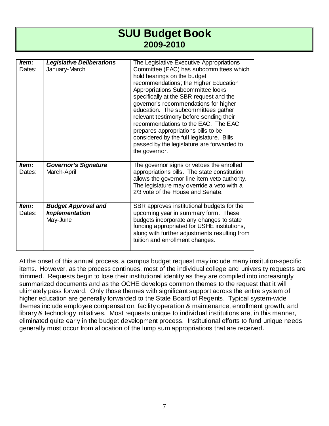| Item:           | <b>Legislative Deliberations</b>                                | The Legislative Executive Appropriations                                                                                                                                                                                                                                                                                                                                                                                                                                                                             |
|-----------------|-----------------------------------------------------------------|----------------------------------------------------------------------------------------------------------------------------------------------------------------------------------------------------------------------------------------------------------------------------------------------------------------------------------------------------------------------------------------------------------------------------------------------------------------------------------------------------------------------|
| Dates:          | January-March                                                   | Committee (EAC) has subcommittees which<br>hold hearings on the budget<br>recommendations; the Higher Education<br>Appropriations Subcommittee looks<br>specifically at the SBR request and the<br>governor's recommendations for higher<br>education. The subcommittees gather<br>relevant testimony before sending their<br>recommendations to the EAC. The EAC<br>prepares appropriations bills to be<br>considered by the full legislature. Bills<br>passed by the legislature are forwarded to<br>the governor. |
| Item:<br>Dates: | <b>Governor's Signature</b><br>March-April                      | The governor signs or vetoes the enrolled<br>appropriations bills. The state constitution<br>allows the governor line item veto authority.<br>The legislature may override a veto with a<br>2/3 vote of the House and Senate.                                                                                                                                                                                                                                                                                        |
| ttem:<br>Dates: | <b>Budget Approval and</b><br><b>Implementation</b><br>May-June | SBR approves institutional budgets for the<br>upcoming year in summary form. These<br>budgets incorporate any changes to state<br>funding appropriated for USHE institutions,<br>along with further adjustments resulting from<br>tuition and enrollment changes.                                                                                                                                                                                                                                                    |

At the onset of this annual process, a campus budget request may include many institution-specific items. However, as the process continues, most of the individual college and university requests are trimmed. Requests begin to lose their institutional identity as they are compiled into increasingly summarized documents and as the OCHE develops common themes to the request that it will ultimately pass forward. Only those themes with significant support across the entire system of higher education are generally forwarded to the State Board of Regents. Typical system-wide themes include employee compensation, facility operation & maintenance, enrollment growth, and library & technology initiatives. Most requests unique to individual institutions are, in this manner, eliminated quite early in the budget development process. Institutional efforts to fund unique needs generally must occur from allocation of the lump sum appropriations that are received.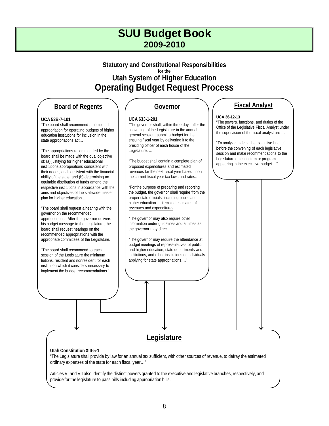### **Statutory and Constitutional Responsibilities for the Utah System of Higher Education Operating Budget Request Process**

#### **Board of Regents**

#### **UCA 53B-7-101**

"The board shall recommend a combined appropriation for operating budgets of higher education institutions for inclusion in the state appropriations act…

"The appropriations recommended by the board shall be made with the dual objective of: (a) justifying for higher educational institutions appropriations consistent with their needs, and consistent with the financial ability of the state; and (b) determining an equitable distribution of funds among the respective institutions in accordance with the aims and objectives of the statewide master plan for higher education.…

"The board shall request a hearing with the governor on the recommended appropriations. After the governor delivers his budget message to the Legislature, the board shall request hearings on the recommended appropriations with the appropriate committees of the Legislature.

"The board shall recommend to each session of the Legislature the minimum tuitions, resident and nonresident for each institution which it considers necessary to implement the budget recommendations."

#### **Governor**

#### **UCA 63J-1-201**

"The governor shall, within three days after the convening of the Legislature in the annual general session, submit a budget for the ensuing fiscal year by delivering it to the presiding officer of each house of the Legislature. …

"The budget shall contain a complete plan of proposed expenditures and estimated revenues for the next fiscal year based upon the current fiscal year tax laws and rates….

"For the purpose of preparing and reporting the budget, the governor shall require from the proper state officials, including public and higher education … itemized estimates of revenues and expenditures….

"The governor may also require other information under guidelines and at times as the governor may direct….

"The governor may require the attendance at budget meetings of representatives of public and higher education, state departments and institutions, and other institutions or individuals applying for state appropriations…."

### **Fiscal Analyst**

#### **UCA 36-12-13**

"The powers, functions, and duties of the Office of the Legislative Fiscal Analyst under the supervision of the fiscal analyst are …

"To analyze in detail the executive budget before the convening of each legislative session and make recommendations to the Legislature on each item or program appearing in the executive budget…."

### **Legislature**

#### **Utah Constitution XIII-5-1**

"The Legislature shall provide by law for an annual tax sufficient, with other sources of revenue, to defray the estimated ordinary expenses of the state for each fiscal year…"

Articles VI and VII also identify the distinct powers granted to the executive and legislative branches, respectively, and provide for the legislature to pass bills including appropriation bills.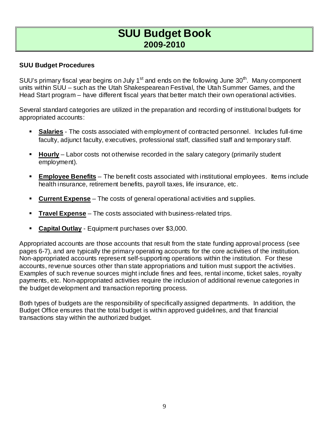#### **SUU Budget Procedures**

SUU's primary fiscal year begins on July 1<sup>st</sup> and ends on the following June 30<sup>th</sup>. Many component units within SUU – such as the Utah Shakespearean Festival, the Utah Summer Games, and the Head Start program – have different fiscal years that better match their own operational activities.

Several standard categories are utilized in the preparation and recording of institutional budgets for appropriated accounts:

- **Salaries** The costs associated with employment of contracted personnel. Includes full-time faculty, adjunct faculty, executives, professional staff, classified staff and temporary staff.
- **Hourly** Labor costs not otherwise recorded in the salary category (primarily student employment).
- **Employee Benefits** The benefit costs associated with institutional employees. Items include health insurance, retirement benefits, payroll taxes, life insurance, etc.
- **Current Expense** The costs of general operational activities and supplies.
- **Travel Expense** The costs associated with business-related trips.
- **Capital Outlay** Equipment purchases over \$3,000.

Appropriated accounts are those accounts that result from the state funding approval process (see pages 6-7), and are typically the primary operating accounts for the core activities of the institution. Non-appropriated accounts represent self-supporting operations within the institution. For these accounts, revenue sources other than state appropriations and tuition must support the activities. Examples of such revenue sources might include fines and fees, rental income, ticket sales, royalty payments, etc. Non-appropriated activities require the inclusion of additional revenue categories in the budget development and transaction reporting process.

Both types of budgets are the responsibility of specifically assigned departments. In addition, the Budget Office ensures that the total budget is within approved guidelines, and that financial transactions stay within the authorized budget.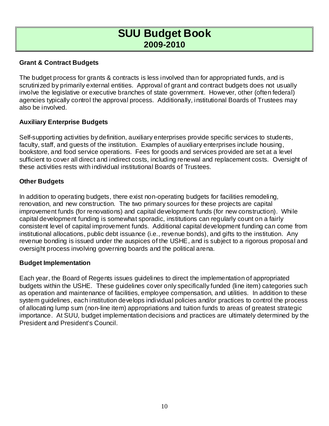### **Grant & Contract Budgets**

The budget process for grants & contracts is less involved than for appropriated funds, and is scrutinized by primarily external entities. Approval of grant and contract budgets does not usually involve the legislative or executive branches of state government. However, other (often federal) agencies typically control the approval process. Additionally, institutional Boards of Trustees may also be involved.

### **Auxiliary Enterprise Budgets**

Self-supporting activities by definition, auxiliary enterprises provide specific services to students, faculty, staff, and guests of the institution. Examples of auxiliary enterprises include housing, bookstore, and food service operations. Fees for goods and services provided are set at a level sufficient to cover all direct and indirect costs, including renewal and replacement costs. Oversight of these activities rests with individual institutional Boards of Trustees.

### **Other Budgets**

In addition to operating budgets, there exist non-operating budgets for facilities remodeling, renovation, and new construction. The two primary sources for these projects are capital improvement funds (for renovations) and capital development funds (for new construction). While capital development funding is somewhat sporadic, institutions can regularly count on a fairly consistent level of capital improvement funds. Additional capital development funding can come from institutional allocations, public debt issuance (i.e., revenue bonds), and gifts to the institution. Any revenue bonding is issued under the auspices of the USHE, and is subject to a rigorous proposal and oversight process involving governing boards and the political arena.

#### **Budget Implementation**

Each year, the Board of Regents issues guidelines to direct the implementation of appropriated budgets within the USHE. These guidelines cover only specifically funded (line item) categories such as operation and maintenance of facilities, employee compensation, and utilities. In addition to these system guidelines, each institution develops individual policies and/or practices to control the process of allocating lump sum (non-line item) appropriations and tuition funds to areas of greatest strategic importance. At SUU, budget implementation decisions and practices are ultimately determined by the President and President's Council.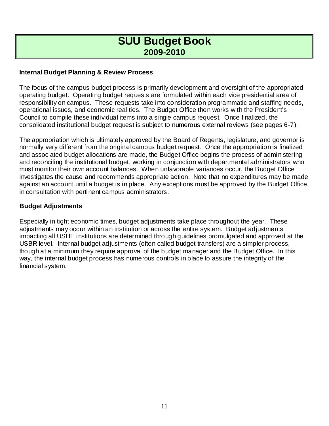#### **Internal Budget Planning & Review Process**

The focus of the campus budget process is primarily development and oversight of the appropriated operating budget. Operating budget requests are formulated within each vice presidential area of responsibility on campus. These requests take into consideration programmatic and staffing needs, operational issues, and economic realities. The Budget Office then works with the President's Council to compile these individual items into a single campus request. Once finalized, the consolidated institutional budget request is subject to numerous external reviews (see pages 6-7).

The appropriation which is ultimately approved by the Board of Regents, legislature, and governor is normally very different from the original campus budget request. Once the appropriation is finalized and associated budget allocations are made, the Budget Office begins the process of administering and reconciling the institutional budget, working in conjunction with departmental administrators who must monitor their own account balances. When unfavorable variances occur, the Budget Office investigates the cause and recommends appropriate action. Note that no expenditures may be made against an account until a budget is in place. Any exceptions must be approved by the Budget Office, in consultation with pertinent campus administrators.

#### **Budget Adjustments**

Especially in tight economic times, budget adjustments take place throughout the year. These adjustments may occur within an institution or across the entire system. Budget adjustments impacting all USHE institutions are determined through guidelines promulgated and approved at the USBR level. Internal budget adjustments (often called budget transfers) are a simpler process, though at a minimum they require approval of the budget manager and the Budget Office. In this way, the internal budget process has numerous controls in place to assure the integrity of the financial system.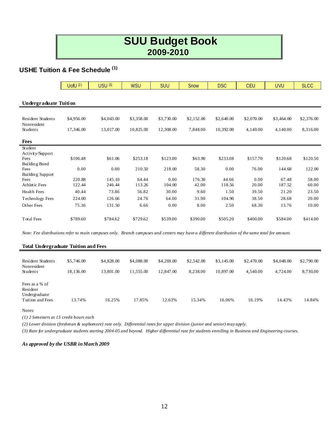### **USHE Tuition & Fee Schedule (1)**

|                        | $U$ of $U$ $(2)$ | USU (3)    | <b>WSU</b> | <b>SUU</b> | Snow       | <b>DSC</b> | <b>CEU</b> | <b>UVU</b> | <b>SLCC</b> |  |  |  |  |  |
|------------------------|------------------|------------|------------|------------|------------|------------|------------|------------|-------------|--|--|--|--|--|
|                        |                  |            |            |            |            |            |            |            |             |  |  |  |  |  |
| Undergraduate Tuition  |                  |            |            |            |            |            |            |            |             |  |  |  |  |  |
|                        |                  |            |            |            |            |            |            |            |             |  |  |  |  |  |
| Resident Students      | \$4,956.00       | \$4,043.00 | \$3,358.00 | \$3,730.00 | \$2,152.00 | \$2,640.00 | \$2,070.00 | \$3,464.00 | \$2,376.00  |  |  |  |  |  |
| Nonresident            |                  |            |            |            |            |            |            |            |             |  |  |  |  |  |
| Students               | 17,346.00        | 13,017.00  | 10,825.00  | 12,308.00  | 7,848.00   | 10,392.00  | 4,140.00   | 4,140.00   | 8,316.00    |  |  |  |  |  |
| <b>Fees</b>            |                  |            |            |            |            |            |            |            |             |  |  |  |  |  |
| Student                |                  |            |            |            |            |            |            |            |             |  |  |  |  |  |
| Activity/Support       |                  |            |            |            |            |            |            |            |             |  |  |  |  |  |
| Fees                   | \$106.48         | \$61.06    | \$253.18   | \$123.00   | \$63.90    | \$233.08   | \$157.70   | \$120.68   | \$120.50    |  |  |  |  |  |
| Building Bond<br>Fees  | 0.00             | 0.00       | 210.50     | 218.00     | 58.30      | 0.00       | 76.00      | 144.68     | 122.00      |  |  |  |  |  |
| Building Support       |                  |            |            |            |            |            |            |            |             |  |  |  |  |  |
| Fees                   | 220.88           | 145.10     | 64.44      | 0.00       | 176.30     | 44.66      | 0.00       | 67.48      | 58.00       |  |  |  |  |  |
| Athletic Fees          | 122.44           | 246.44     | 113.26     | 104.00     | 42.00      | 118.56     | 20.00      | 187.52     | 60.00       |  |  |  |  |  |
| <b>Health Fees</b>     | 40.44            | 73.86      | 56.82      | 30.00      | 9.60       | 1.50       | 39.50      | 21.20      | 23.50       |  |  |  |  |  |
| <b>Technology Fees</b> | 224.00           | 126.66     | 24.76      | 64.00      | 31.90      | 104.90     | 38.50      | 28.68      | 20.00       |  |  |  |  |  |
| Other Fees             | 75.36            | 131.50     | 6.66       | 0.00       | 8.00       | 2.50       | 68.30      | 13.76      | 10.00       |  |  |  |  |  |
|                        |                  |            |            |            |            |            |            |            |             |  |  |  |  |  |
| <b>Total Fees</b>      | \$789.60         | \$784.62   | \$729.62   | \$539.00   | \$390.00   | \$505.20   | \$400.00   | \$584.00   | \$414.00    |  |  |  |  |  |
|                        |                  |            |            |            |            |            |            |            |             |  |  |  |  |  |

*Note: Fee distributions refer to main campuses only. Branch campuses and centers may have a different distribution of the same total fee amount.*

#### **Total Undergraduate Tuition and Fees**

| Resident Students<br>Nonresident<br>Students                    | \$5,746.00<br>18,136.00 | \$4,828.00<br>13.801.00 | \$4,088.00<br>11.555.00 | \$4,269.00<br>12,847.00 | \$2,542.00<br>8.238.00 | \$3,145.00<br>10.897.00 | \$2,470.00<br>4.540.00 | \$4,048.00<br>4,724.00 | \$2,790.00<br>8,730.00 |
|-----------------------------------------------------------------|-------------------------|-------------------------|-------------------------|-------------------------|------------------------|-------------------------|------------------------|------------------------|------------------------|
| Fees as a % of<br>Resident<br>Undergraduate<br>Tuition and Fees | 13.74%                  | 16.25%                  | 17.85%                  | 12.63%                  | 15.34%                 | 16.06%                  | 16.19%                 | 14.43%                 | 14.84%                 |

#### Notes:

*(1) 2 Semesters at 15 credit hours each*

*(2) Lower division (freshman & sophomore) rate only. Differential rates for upper division (junior and senior) may apply*.

*(3) Rate for undergraduate students starting 2004-05 and beyond. Higher differential rate for students enrolling in Business and Engineering courses.*

#### *As approved by the USBR in March 2009*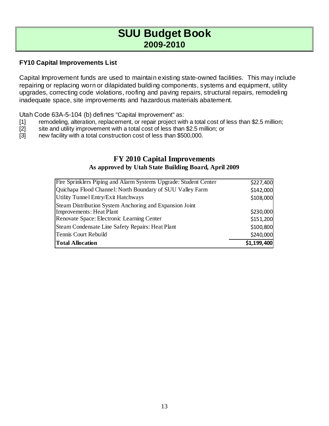#### **FY10 Capital Improvements List**

Capital Improvement funds are used to maintain existing state-owned facilities. This may include repairing or replacing worn or dilapidated building components, systems and equipment, utility upgrades, correcting code violations, roofing and paving repairs, structural repairs, remodeling inadequate space, site improvements and hazardous materials abatement.

Utah Code 63A-5-104 (b) defines "Capital Improvement" as:

- [1] remodeling, alteration, replacement, or repair project with a total cost of less than \$2.5 million;<br>[2] site and utility improvement with a total cost of less than \$2.5 million; or
- site and utility improvement with a total cost of less than \$2.5 million; or
- [3] new facility with a total construction cost of less than \$500,000.

### **FY 2010 Capital Improvements As approved by Utah State Building Board, April 2009**

| <b>Total Allocation</b>                                          | \$1,199,400 |
|------------------------------------------------------------------|-------------|
| Tennis Court Rebuild                                             | \$240,000   |
| Steam Condensate Line Safety Repairs: Heat Plant                 | \$100,800   |
| Renovate Space: Electronic Learning Center                       | \$151,200   |
| Improvements: Heat Plant                                         | \$230,000   |
| Steam Distribution System Anchoring and Expansion Joint          |             |
| Utility Tunnel Entry/Exit Hatchways                              | \$108,000   |
| Quichapa Flood Channel: North Boundary of SUU Valley Farm        | \$142,000   |
| Fire Sprinklers Piping and Alarm Systems Upgrade: Student Center | \$227,400   |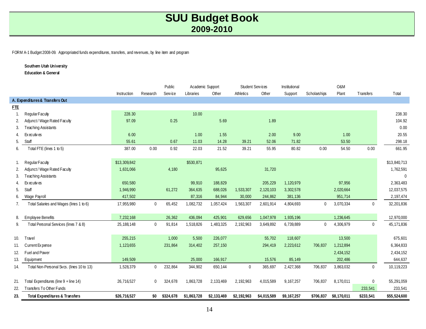FORM A-1 Budget 2008-09. Appropriated funds expenditures, transfers, and revenues, by line item and program

**Southern Utah University**

**Education & General**

|            |                                           |              |             | Public    | Academic Support |             | Student Services |             | Institutional |                | O&M         |                |              |
|------------|-------------------------------------------|--------------|-------------|-----------|------------------|-------------|------------------|-------------|---------------|----------------|-------------|----------------|--------------|
|            |                                           | Instruction  | Research    | Service   | Libraries        | Other       | Athletics        | Other       | Support       | Scholarships   | Plant       | Transfers      | Total        |
|            | A. Expenditures & Transfers Out           |              |             |           |                  |             |                  |             |               |                |             |                |              |
| <b>FTE</b> |                                           |              |             |           |                  |             |                  |             |               |                |             |                |              |
|            | Regular Faculty                           | 228.30       |             |           | 10.00            |             |                  |             |               |                |             |                | 238.30       |
| 2.         | Adjunct/ Wage Rated Faculty               | 97.09        |             | 0.25      |                  | 5.69        |                  | 1.89        |               |                |             |                | 104.92       |
| 3.         | <b>Teaching Assistants</b>                |              |             |           |                  |             |                  |             |               |                |             |                | 0.00         |
| 4.         | Executives                                | 6.00         |             |           | 1.00             | 1.55        |                  | 2.00        | 9.00          |                | 1.00        |                | 20.55        |
| 5.         | Staff                                     | 55.61        |             | 0.67      | 11.03            | 14.28       | 39.21            | 52.06       | 71.82         |                | 53.50       |                | 298.18       |
| 6.         | Total FTE (lines 1 to 5)                  | 387.00       | 0.00        | 0.92      | 22.03            | 21.52       | 39.21            | 55.95       | 80.82         | 0.00           | 54.50       | 0.00           | 661.95       |
|            |                                           |              |             |           |                  |             |                  |             |               |                |             |                |              |
|            | Regular Faculty                           | \$13,309,842 |             |           | \$530,871        |             |                  |             |               |                |             |                | \$13,840,713 |
| 2.         | Adjunct / Wage Rated Faculty              | 1,631,066    |             | 4,180     |                  | 95,625      |                  | 31,720      |               |                |             |                | 1,762,591    |
| 3.         | <b>Teaching Assistants</b>                |              |             |           |                  |             |                  |             |               |                |             |                | $\mathbf 0$  |
| 4.         | Ex ecutives                               | 650,580      |             |           | 99,910           | 188,829     |                  | 205,229     | 1,120,979     |                | 97,956      |                | 2,363,483    |
| 5.         | Staff                                     | 1,946,990    |             | 61,272    | 364,635          | 688,026     | 1,533,307        | 2,120,103   | 3,302,578     |                | 2,020,664   |                | 12,037,575   |
|            | Wage Payroll                              | 417,502      |             |           | 87,316           | 84,944      | 30,000           | 244,862     | 381,136       |                | 951,714     |                | 2,197,474    |
| 7.         | Total Salaries and Wages (lines 1 to 6)   | 17,955,980   | $\mathbf 0$ | 65,452    | 1,082,732        | 1,057,424   | 1,563,307        | 2,601,914   | 4,804,693     | $\mathbf 0$    | 3,070,334   | $\mathbf 0$    | 32,201,836   |
|            |                                           |              |             |           |                  |             |                  |             |               |                |             |                |              |
| 8.         | <b>Employee Benefits</b>                  | 7,232,168    |             | 26,362    | 436,094          | 425,901     | 629,656          | 1,047,978   | 1,935,196     |                | 1,236,645   |                | 12,970,000   |
| 9.         | Total Personal Services (lines 7 & 8)     | 25, 188, 148 | $\mathbf 0$ | 91,814    | 1,518,826        | 1,483,325   | 2,192,963        | 3,649,892   | 6,739,889     | $\overline{0}$ | 4,306,979   | $\overline{0}$ | 45, 171, 836 |
|            |                                           |              |             |           |                  |             |                  |             |               |                |             |                |              |
| 10.        | Travel                                    | 255,215      |             | 1,000     | 5,500            | 226,077     |                  | 55,702      | 118,607       |                | 13,500      |                | 675,601      |
| 11.        | Current Expense                           | 1,123,655    |             | 231,864   | 314,402          | 257,150     |                  | 294,419     | 2,223,612     | 706,837        | 1,212,894   |                | 6,364,833    |
| 12.        | Fuel and Power                            |              |             |           |                  |             |                  |             |               |                | 2,434,152   |                | 2,434,152    |
| 13.        | Equipment                                 | 149,509      |             |           | 25,000           | 166,917     |                  | 15,576      | 85,149        |                | 202,486     |                | 644,637      |
| 14.        | Total Non-Personal Svcs. (lines 10 to 13) | 1,528,379    | $\mathbf 0$ | 232,864   | 344,902          | 650,144     | $\mathbf 0$      | 365,697     | 2,427,368     | 706,837        | 3,863,032   | $\mathbf 0$    | 10,119,223   |
|            |                                           |              |             |           |                  |             |                  |             |               |                |             |                |              |
| 21.        | Total Expenditures (line 9 + line 14)     | 26,716,527   | 0           | 324,678   | 1,863,728        | 2,133,469   | 2,192,963        | 4,015,589   | 9,167,257     | 706,837        | 8,170,011   | $\mathbf 0$    | 55,291,059   |
| 22.        | Transfers To Other Funds                  |              |             |           |                  |             |                  |             |               |                |             | 233,541        | 233,541      |
| 23.        | Total Expenditures & Transfers            | \$26,716,527 | \$0         | \$324,678 | \$1,863,728      | \$2,133,469 | \$2,192,963      | \$4,015,589 | \$9,167,257   | \$706,837      | \$8,170,011 | \$233,541      | \$55,524,600 |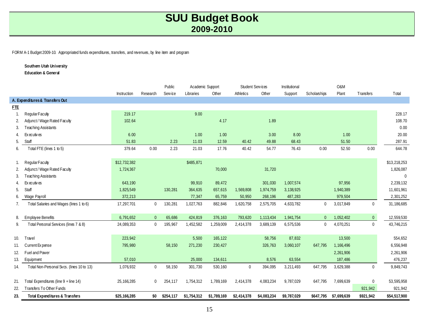FORM A-1 Budget 2009-10. Appropriated funds expenditures, transfers, and revenues, by line item and program

#### **Southern Utah University**

**Education & General**

|                |                                           |              |                | Public         | Academic Support |             | Student Services |             | Institutional |              | O&M         |                  |              |
|----------------|-------------------------------------------|--------------|----------------|----------------|------------------|-------------|------------------|-------------|---------------|--------------|-------------|------------------|--------------|
|                |                                           | Instruction  | Research       | <b>Service</b> | Libraries        | Other       | Athletics        | Other       | Support       | Scholarships | Plant       | Transfers        | Total        |
|                | A. Expenditures & Transfers Out           |              |                |                |                  |             |                  |             |               |              |             |                  |              |
| <b>FTE</b>     |                                           |              |                |                |                  |             |                  |             |               |              |             |                  |              |
| $\mathbf{1}$ . | Regular Faculty                           | 219.17       |                |                | 9.00             |             |                  |             |               |              |             |                  | 228.17       |
| 2.             | Adjunct / Wage Rated Faculty              | 102.64       |                |                |                  | 4.17        |                  | 1.89        |               |              |             |                  | 108.70       |
| 3.             | <b>Teaching Assistants</b>                |              |                |                |                  |             |                  |             |               |              |             |                  | 0.00         |
| 4.             | Executives                                | 6.00         |                |                | 1.00             | 1.00        |                  | 3.00        | 8.00          |              | 1.00        |                  | 20.00        |
| 5.             | Staff                                     | 51.83        |                | 2.23           | 11.03            | 12.59       | 40.42            | 49.88       | 68.43         |              | 51.50       |                  | 287.91       |
| 6.             | Total FTE (lines 1 to 5)                  | 379.64       | 0.00           | 2.23           | 21.03            | 17.76       | 40.42            | 54.77       | 76.43         | 0.00         | 52.50       | 0.00             | 644.78       |
|                |                                           |              |                |                |                  |             |                  |             |               |              |             |                  |              |
|                | Regular Faculty                           | \$12,732,382 |                |                | \$485,871        |             |                  |             |               |              |             |                  | \$13,218,253 |
| 2.             | Adjunct/ Wage Rated Faculty               | 1,724,367    |                |                |                  | 70,000      |                  | 31,720      |               |              |             |                  | 1,826,087    |
| 3.             | <b>Teaching Assistants</b>                |              |                |                |                  |             |                  |             |               |              |             |                  | $\mathbf 0$  |
| 4.             | Executives                                | 643,190      |                |                | 99,910           | 89,472      |                  | 301,030     | 1,007,574     |              | 97,956      |                  | 2,239,132    |
| 5.             | Staff                                     | 1,825,549    |                | 130,281        | 364,635          | 657,615     | 1,569,808        | 1,974,759   | 3,138,925     |              | 1,940,389   |                  | 11,601,961   |
| 6.             | Wage Payroll                              | 372,213      |                |                | 77,347           | 65,759      | 50,950           | 268,196     | 487,283       |              | 979,504     |                  | 2,301,252    |
| 7.             | Total Salaries and Wages (lines 1 to 6)   | 17,297,701   | $\mathbf 0$    | 130,281        | 1,027,763        | 882,846     | 1,620,758        | 2,575,705   | 4,633,782     | $\mathbf{0}$ | 3,017,849   | $\mathbf 0$      | 31,186,685   |
|                |                                           |              |                |                |                  |             |                  |             |               |              |             |                  |              |
| 8.             | <b>Employee Benefits</b>                  | 6,791,652    | $\overline{0}$ | 65,686         | 424,819          | 376,163     | 793,620          | 1,113,434   | 1,941,754     | $\Omega$     | 1,052,402   | $\overline{0}$   | 12,559,530   |
| 9.             | Total Personal Services (lines 7 & 8)     | 24,089,353   | $\mathbf 0$    | 195,967        | 1,452,582        | 1,259,009   | 2,414,378        | 3,689,139   | 6,575,536     | $\mathbf 0$  | 4,070,251   | $\mathbf 0$      | 43,746,215   |
|                |                                           |              |                |                |                  |             |                  |             |               |              |             |                  |              |
| 10.            | Travel                                    | 223,942      |                |                | 5,500            | 165,122     |                  | 58,756      | 87,832        |              | 13,500      |                  | 554,652      |
| 11.            | Current Expense                           | 795,980      |                | 58,150         | 271,230          | 230,427     |                  | 326,763     | 3,060,107     | 647,795      | 1,166,496   |                  | 6,556,948    |
| 12.            | Fuel and Power                            |              |                |                |                  |             |                  |             |               |              | 2,261,906   |                  | 2,261,906    |
| 13.            | Equipment                                 | 57,010       |                |                | 25,000           | 134,611     |                  | 8,576       | 63,554        |              | 187,486     |                  | 476,237      |
| 14.            | Total Non-Personal Svcs. (lines 10 to 13) | 1,076,932    | $\mathbf 0$    | 58,150         | 301,730          | 530,160     | $\mathbf 0$      | 394,095     | 3,211,493     | 647,795      | 3,629,388   | $\mathbf 0$      | 9,849,743    |
|                |                                           |              |                |                |                  |             |                  |             |               |              |             |                  |              |
| 21.            | Total Expenditures (line 9 + line 14)     | 25, 166, 285 | $\mathbf 0$    | 254,117        | 1,754,312        | 1,789,169   | 2,414,378        | 4,083,234   | 9,787,029     | 647,795      | 7,699,639   | $\boldsymbol{0}$ | 53,595,958   |
| 22.            | Transfers To Other Funds                  |              |                |                |                  |             |                  |             |               |              |             | 921,942          | 921,942      |
| 23.            | <b>Total Expenditures &amp; Transfers</b> | \$25,166,285 | \$0            | \$254,117      | \$1,754,312      | \$1,789,169 | \$2,414,378      | \$4,083,234 | \$9,787,029   | \$647,795    | \$7,699,639 | \$921,942        | \$54,517,900 |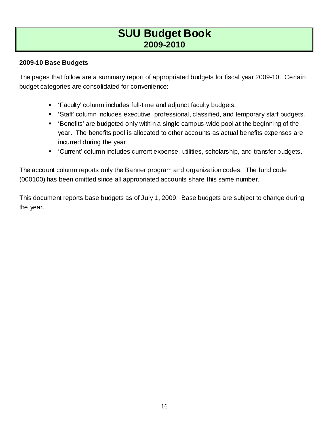### **2009-10 Base Budgets**

The pages that follow are a summary report of appropriated budgets for fiscal year 2009-10. Certain budget categories are consolidated for convenience:

- 'Faculty' column includes full-time and adjunct faculty budgets.
- 'Staff' column includes executive, professional, classified, and temporary staff budgets.
- 'Benefits' are budgeted only within a single campus-wide pool at the beginning of the year. The benefits pool is allocated to other accounts as actual benefits expenses are incurred during the year.
- 'Current' column includes current expense, utilities, scholarship, and transfer budgets.

The account column reports only the Banner program and organization codes. The fund code (000100) has been omitted since all appropriated accounts share this same number.

This document reports base budgets as of July 1, 2009. Base budgets are subject to change during the year.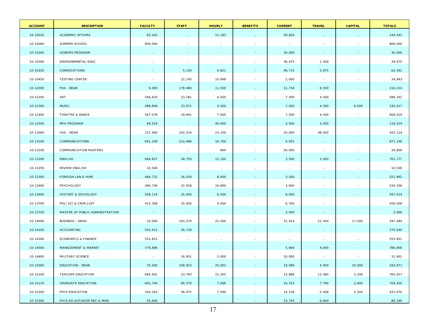| <b>ACCOUNT</b> | <b>DESCRIPTION</b>              | <b>FACULTY</b>           | <b>STAFF</b>    | <b>HOURLY</b> | <b>BENEFITS</b>          | <b>CURRENT</b> | <b>TRAVEL</b>            | <b>CAPITAL</b> | <b>TOTALS</b> |
|----------------|---------------------------------|--------------------------|-----------------|---------------|--------------------------|----------------|--------------------------|----------------|---------------|
| 10-10020       | <b>ACADEMIC AFFAIRS</b>         | 93,432                   | $\sim$          | 11,183        |                          | 39,826         | $\sim$                   |                | 144,441       |
| 10-10060       | SUMMER SCHOOL                   | 800,000                  | $\sim$          | $\sim$        |                          | $\sim$ $-$     | $\overline{\phantom{a}}$ |                | 800,000       |
| 10-10260       | HONORS PROGRAM                  | $\sim$                   | $\sim$          | $\sim$        | $\sim$                   | 30,000         | $\sim$                   | $\sim$         | 30,000        |
| 10-10280       | ENVIRONMENTAL EDUC              |                          | $\sim$          | $\sim$        |                          | 38,475         | 1,500                    | $\sim$         | 39,975        |
| 10-10320       | CONVOCATIONS                    | $\sim$                   | 5,150           | 4,821         |                          | 46,715         | 5,875                    | $\sim$         | 62,561        |
| 10-10450       | <b>TESTING CENTER</b>           | $\overline{\phantom{a}}$ | 22,145          | 10,698        |                          | 2,000          | $\sim$                   |                | 34,843        |
| 10-12000       | PVA - DEAN                      | 6,000                    | 178,480         | 11,500        |                          | 11,734         | 8,500                    | $\sim$         | 216,214       |
| 10-12200       | ART                             | 546,620                  | 23,181          | 4,500         |                          | 7,500          | 4,500                    | $\sim$         | 586,301       |
| 10-12300       | <b>MUSIC</b>                    | 488,846                  | 23,671          | 4,500         | $\sim$                   | 7,500          | 4,500                    | 6,000          | 535,017       |
| 10-12400       | THEATRE & DANCE                 | 567,078                  | 19,941          | 7,000         | $\sim$                   | 7,500          | 4,500                    | $\sim$         | 606,019       |
| 10-12500       | <b>MFA PROGRAM</b>              | 69,524                   | <b>Contract</b> | 40,000        | $\sim$                   | 4,500          | 4,500                    | $\sim$         | 118,524       |
| 10-13000       | HSS - DEAN                      | 121,400                  | 242,224         | 23,100        |                          | 20,000         | 48,400                   | $\sim$         | 455,124       |
| 10-13100       | <b>COMMUNICATIONS</b>           | 641,249                  | 214,486         | 10,700        | $\sim$                   | 4,901          | $\sim$ $-$               | $\sim$         | 871,336       |
| 10-13190       | <b>COMMUNICATION MASTERS</b>    | $\sim 100$               | $\sim$          | 800           |                          | 26,000         | $\sim$                   |                | 26,800        |
| 10-13200       | ENGLISH                         | 664,827                  | 18,750          | 12,100        |                          | 3,500          | 2,000                    | $\sim$         | 701,177       |
| 10-13250       | <b>REVIEW ENGLISH</b>           | 10,500                   | $\sim$          | $\sim 100$    | $\sim$                   | $\sim$         | $\sim$                   | $\sim$         | 10,500        |
| 10-13300       | <b>FOREIGN LAN &amp; HUM</b>    | 484,732                  | 26,030          | 8,000         | $\sim$                   | 3,200          | $\sim$                   | $\sim$         | 521,962       |
| 10-13400       | PSYCHOLOGY                      | 496,740                  | 22,918          | 10,800        | $\sim$                   | 3,900          | $\sim$                   | $\sim$         | 534,358       |
| 10-13600       | <b>HISTORY &amp; SOCIOLOGY</b>  | 558,114                  | 25,000          | 6,500         | $\sim$                   | 8,000          | $\sim$                   |                | 597,614       |
| 10-13700       | POLI SCI & CRIM JUST            | 415,308                  | 25,000          | 9,000         |                          | 6,700          | $\overline{\phantom{a}}$ | $\sim$         | 456,008       |
| 10-13750       | MASTER OF PUBLIC ADMINISTRATION | $\sim 100$               | $\sim 100$      | $\sim 100$    |                          | 3,000          | $\sim$                   | $\sim$         | 3,000         |
| 10-14000       | <b>BUSINESS - DEAN</b>          | 10,000                   | 193,570         | 22,000        | $\sim$                   | 31,914         | 22,500                   | 17,500         | 297,484       |
| 10-14100       | <b>ACCOUNTING</b>               | 543,912                  | 26,728          |               |                          | $\sim$         | $\sim$                   | $\sim$         | 570,640       |
| 10-14300       | <b>ECONOMICS &amp; FINANCE</b>  | 553,851                  | $\sim$          |               | $\sim$                   | $\sim$         | $\sim$                   | $\sim$         | 553,851       |
| 10-14500       | <b>MANAGEMENT &amp; MARKET</b>  | 776,896                  | $\sim$          | $\sim$        |                          | 5,960          | 4,000                    | $\sim$         | 786,856       |
| 10-14800       | MILITARY SCIENCE                | $\sim$                   | 16,901          | 5,000         |                          | 10,000         |                          |                | 31,901        |
| 10-15000       | EDUCATION - DEAN                | 35,000                   | 199,823         | 25,003        | $\blacksquare$           | 19,086         | 4,959                    | 10,000         | 293,871       |
| 10-15100       | TEACHER EDUCATION               | 685,001                  | 23,783          | 15,305        | $\overline{\phantom{a}}$ | 23,888         | 12,480                   | 5,200          | 765,657       |
| 10-15120       | <b>GRADUATE EDUCATION</b>       | 605,749                  | 69,370          | 7,596         | $\omega$                 | 16,315         | 7,790                    | 2,600          | 709,420       |
| 10-15200       | PHYS EDUCATION                  | 343,263                  | 56,475          | 7,596         | $\sim$                   | 14,128         | 5,008                    | 5,200          | 431,670       |
| 10-15300       | PHYS ED OUTDOOR REC & MAN       | 55,600                   | $\sim$          | $\sim$        | $\sim$                   | 23,750         | 6,840                    | $\sim$         | 86,190        |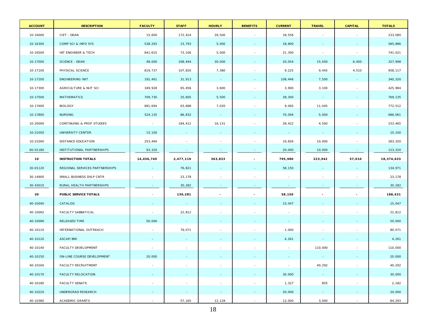| <b>ACCOUNT</b> | <b>DESCRIPTION</b>             | <b>FACULTY</b> | <b>STAFF</b>   | <b>HOURLY</b>            | <b>BENEFITS</b>          | <b>CURRENT</b> | <b>TRAVEL</b>            | <b>CAPITAL</b>           | <b>TOTALS</b> |
|----------------|--------------------------------|----------------|----------------|--------------------------|--------------------------|----------------|--------------------------|--------------------------|---------------|
| 10-16000       | CIET - DEAN                    | 15,600         | 172,424        | 26,500                   | $\sim$                   | 18,556         | $\sim$                   | $\overline{\phantom{a}}$ | 233,080       |
| 10-16300       | COMP SCI & INFO SYS            | 538,293        | 23,793         | 5,000                    | $\sim$                   | 18,800         |                          | $\blacksquare$           | 585,886       |
| 10-16500       | INT ENGINEER & TECH            | 641,615        | 73,106         | 5,000                    | $\sim$                   | 21,300         | $\sim$                   | $\sim$                   | 741,021       |
| 10-17000       | <b>SCIENCE - DEAN</b>          | 48,000         | 208,444        | 30,000                   | $\sim$                   | 20,054         | 15,500                   | 6,000                    | 327,998       |
| 10-17100       | PHYSICAL SCIENCE               | 819,737        | 107,820        | 7,380                    | $\sim$                   | 9,225          | 9,445                    | 4,510                    | 958,117       |
| 10-17200       | <b>ENGINEERING INIT</b>        | 192,461        | 31,913         | $\sim$                   | $\blacksquare$           | 108,446        | 7,500                    | $\sim$                   | 340,320       |
| 10-17300       | AGRICULTURE & NUT SCI          | 349,928        | 65,456         | 3,600                    | $\sim$                   | 3,900          | 3,100                    | $\sim$                   | 425,984       |
| 10-17500       | MATHEMATICS                    | 709,730        | 25,605         | 5,500                    | $\sim$                   | 28,300         | $\sim$                   | $\blacksquare$           | 769,135       |
| 10-17600       | <b>BIOLOGY</b>                 | 681,694        | 63,688         | 7,020                    | $\sim$                   | 9,065          | 11,045                   | $\sim$                   | 772,512       |
| 10-17800       | <b>NURSING</b>                 | 524,135        | 86,832         | $\sim$                   | $\sim$                   | 70,094         | 5,000                    | $\blacksquare$           | 686,061       |
| 10-20000       | CONTINUING & PROF STUDIES      | $\sim$         | 184,412        | 16,131                   | $\sim$                   | 28,422         | 4,500                    | $\sim$                   | 233,465       |
| 10-21050       | UNIVERSITY CENTER              | 15,100         | $\sim$         | $\sim$                   |                          | $\sim$         | $\sim$                   | $\sim$                   | 15,100        |
| 10-21000       | DISTANCE EDUCATION             | 253,494        | $\sim$         | $\sim$                   | $\sim$                   | 19,826         | 10,000                   | $\sim$                   | 283,320       |
| 60-01180       | INSTITUTIONAL PARTNERSHIPS     | 93,320         | $\sim$         | $\sim$                   |                          | 20,000         | 10,000                   | $\sim$                   | 123,320       |
| 10             | <b>INSTRUCTION TOTALS</b>      | 14,456,749     | 2,477,119      | 363,833                  | $\overline{\phantom{a}}$ | 795,980        | 223,942                  | 57,010                   | 18,374,633    |
| 30-01120       | REGIONAL SERVICES PARTNERSHIPS |                | 76,821         |                          |                          | 58,150         |                          |                          | 134,971       |
| 30-14900       | SMALL BUSINESS DVLP CNTR       |                | 23,178         | $\overline{\phantom{a}}$ | $\sim$                   | $\sim$         | $\sim$                   | $\sim$                   | 23,178        |
| 30-43010       | RURAL HEALTH PARTNERSHIPS      |                | 30,282         |                          |                          | $\sim$         |                          |                          | 30,282        |
| 30             | PUBLIC SERVICE TOTALS          |                | 130,281        | $\sim$                   | $\overline{\phantom{a}}$ | 58,150         | $\overline{\phantom{a}}$ | $\overline{\phantom{a}}$ | 188,431       |
| 40-10040       | CATALOG                        |                | $\sim$         |                          |                          | 15,047         |                          |                          | 15,047        |
| 40-10092       | FACULTY SABBATICAL             | $\sim$         | 22,812         | $\sim$                   | $\sim$                   | $\sim$         | $\sim$                   | $\sim$                   | 22,812        |
| 40-10096       | RELEASED TIME                  | 50,000         | $\sim$         | $\sim$                   | $\sim$                   | $\sim$         |                          | $\equiv$                 | 50,000        |
| 40-10110       | INTERNATIONAL OUTREACH         | $\sim$         | 79,071         | $\sim$                   | $\sim$                   | 1,000          | $\sim$                   | $\sim$                   | 80,071        |
| 40-10120       | ASCAP/BMI                      |                | $\sim$         | ٠                        |                          | 4,261          |                          | $\sim$                   | 4,261         |
| 40-10140       | FACULTY DEVELOPMENT            |                |                |                          |                          | $\sim$         | 110,000                  | $\sim$                   | 110,000       |
| 40-10150       | ON-LINE COURSE DEVELOPMENT     | 20,000         |                |                          |                          |                |                          |                          | 20,000        |
| 40-10160       | FACULTY RECRUITMENT            | $\sim$         | $\sim$         | $\sim$                   | $\sim$                   | $\sim$         | 40,292                   | $\sim$                   | 40,292        |
| 40-10170       | <b>FACULTY RELOCATION</b>      |                | $\mathbf{r}$   | $\sim$                   | $\sim$                   | 30,000         | $\sim$                   | $\sim$                   | 30,000        |
| 40-10180       | FACULTY SENATE                 | $\sim$         | $\sim$         | $\sim$                   | $\sim$                   | 1,327          | 855                      | $\sim$                   | 2,182         |
| 40-10220       | UNDERGRAD RESEARCH             |                | $\blacksquare$ | $\blacksquare$           | $\sim$                   | 20,000         | $\sim$                   | $\blacksquare$           | 20,000        |
| 40-10380       | <b>ACADEMIC GRANTS</b>         | $\sim$         | 57,165         | 12,128                   | $\sim$                   | 12,000         | 3,000                    | $\sim$                   | 84,293        |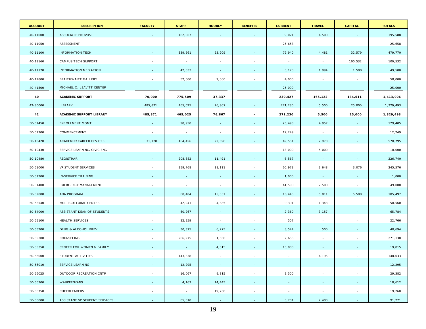| <b>ACCOUNT</b> | <b>DESCRIPTION</b>                   | <b>FACULTY</b> | <b>STAFF</b>             | <b>HOURLY</b>            | <b>BENEFITS</b>          | <b>CURRENT</b> | <b>TRAVEL</b>            | <b>CAPITAL</b>           | <b>TOTALS</b> |
|----------------|--------------------------------------|----------------|--------------------------|--------------------------|--------------------------|----------------|--------------------------|--------------------------|---------------|
| 40-11000       | <b>ASSOCIATE PROVOST</b>             |                | 182,067                  |                          |                          | 9,021          | 4,500                    |                          | 195,588       |
| 40-11050       | ASSESSMENT                           |                | $\sim$                   | $\overline{\phantom{a}}$ | $\sim$                   | 25,658         | $\sim$                   | $\sim$                   | 25,658        |
| 40-11100       | <b>INFORMATION TECH</b>              |                | 339,561                  | 23,209                   |                          | 79,940         | 4,481                    | 32,579                   | 479,770       |
| 40-11160       | CAMPUS TECH SUPPORT                  |                | $\sim$                   |                          |                          | $\sim$         | $\overline{\phantom{a}}$ | 100,532                  | 100,532       |
| 40-11170       | <b>INFORMATION MEDIATION</b>         |                | 42,833                   | $\sim$                   |                          | 3,173          | 1,994                    | 1,500                    | 49,500        |
| 40-12800       | BRAITHWAITE GALLERY                  |                | 52,000                   | 2,000                    |                          | 4,000          | $\sim$                   | $\sim$                   | 58,000        |
| 40-41500       | MICHAEL O. LEAVITT CENTER            |                | $\sim$                   | $\sim$                   |                          | 25,000         | $\sim$                   | $\sim$                   | 25,000        |
| 40             | <b>ACADEMIC SUPPORT</b>              | 70,000         | 775,509                  | 37,337                   | $\overline{\phantom{a}}$ | 230,427        | 165,122                  | 134,611                  | 1,413,006     |
| 42-30000       | LIBRARY                              | 485,871        | 465,025                  | 76,867                   |                          | 271,230        | 5,500                    | 25,000                   | 1,329,493     |
| 42             | ACADEMIC SUPPORT LIBRARY             | 485,871        | 465,025                  | 76,867                   | $\overline{\phantom{a}}$ | 271,230        | 5,500                    | 25,000                   | 1,329,493     |
| 50-01450       | <b>ENROLLMENT MGMT</b>               |                | 98,950                   | $\sim$                   |                          | 25,498         | 4,957                    |                          | 129,405       |
| 50-01700       | COMMENCEMENT                         |                | $\overline{\phantom{a}}$ | $\sim$                   |                          | 12,249         | $\sim$                   | $\overline{\phantom{a}}$ | 12,249        |
| 50-10420       | ACADEMIC/CAREER DEV CTR              | 31,720         | 464,456                  | 22,098                   |                          | 49,551         | 2,970                    |                          | 570,795       |
| 50-10430       | SERVICE LEARNING/CIVIC ENG           |                | $\sim$                   | $\sim 100$               |                          | 13,000         | 5,000                    | $\sim$                   | 18,000        |
| 50-10480       | REGISTRAR                            |                | 208,682                  | 11,491                   |                          | 6,567          | $\sim$                   | $\sim$                   | 226,740       |
| 50-51000       | VP STUDENT SERVICES                  |                | 159,768                  | 18,111                   | $\sim$                   | 60,973         | 3,648                    | 3,076                    | 245,576       |
| 50-51200       | IN-SERVICE TRAINING                  |                | $\sim$                   | $\sim$                   | $\sim$                   | 1,000          | $\sim$                   | $\sim$                   | 1,000         |
| 50-51400       | <b>EMERGENCY MANAGEMENT</b>          |                | $\sim$                   | $\sim$                   | $\sim$                   | 41,500         | 7,500                    | $\sim$                   | 49,000        |
| 50-52000       | ADA PROGRAM                          |                | 60,404                   | 15,337                   |                          | 18,445         | 5,811                    | 5,500                    | 105,497       |
| 50-52540       | MULTICULTURAL CENTER                 |                | 42,941                   | 4,885                    | $\sim$                   | 9,391          | 1,343                    | $\sim$                   | 58,560        |
| 50-54000       | ASSISTANT DEAN OF STUDENTS           |                | 60,267                   | $\sim$                   |                          | 2,360          | 3,157                    | $\sim$                   | 65,784        |
| 50-55100       | <b>HEALTH SERVICES</b>               |                | 22,259                   | $\sim$                   | $\sim$                   | 507            | $\sim$                   | $\sim$                   | 22,766        |
| 50-55200       | DRUG & ALCOHOL PREV                  |                | 30,375                   | 6,275                    |                          | 3,544          | 500                      |                          | 40,694        |
| 50-55300       | COUNSELING                           |                | 266,975                  | 1,500                    | $\sim$                   | 2,655          | $\sim$                   | $\sim$                   | 271,130       |
| 50-55350       | <b>CENTER FOR WOMEN &amp; FAMILY</b> |                |                          | 4,815                    |                          | 15,000         | $\sim$                   | $\sim$                   | 19,815        |
| 50-56000       | STUDENT ACTIVITIES                   |                | 143,838                  | $\sim$                   |                          |                | 4,195                    | $\sim$                   | 148,033       |
| 50-56010       | SERVICE LEARNING                     |                | 12,295                   | $\sim$                   |                          |                |                          |                          | 12,295        |
| 50-56025       | OUTDOOR RECREATION CNTR              |                | 16,067                   | 9,815                    | $\sim$                   | 3,500          | $\sim$                   | $\sim$                   | 29,382        |
| 50-56700       | WAUKEENYANS                          |                | 4,167                    | 14,445                   |                          | $\sim$         |                          |                          | 18,612        |
| 50-56750       | CHEERLEADERS                         | $\sim$         | $\sim$                   | 19,260                   | $\sim$                   | $\sim$         | $\sim$                   | $\sim$                   | 19,260        |
| 50-58000       | ASSISTANT VP STUDENT SERVICES        |                | 85,010                   | $\sim$                   |                          | 3,781          | 2,480                    |                          | 91,271        |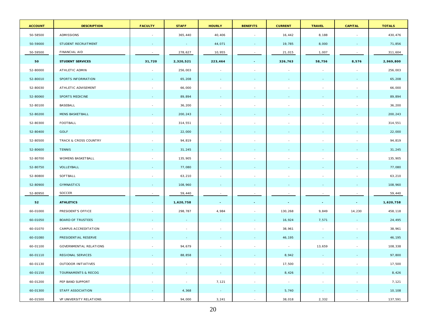| <b>ACCOUNT</b> | <b>DESCRIPTION</b>             | <b>FACULTY</b> | <b>STAFF</b>             | <b>HOURLY</b>            | <b>BENEFITS</b>          | <b>CURRENT</b> | <b>TRAVEL</b>            | <b>CAPITAL</b>           | <b>TOTALS</b> |
|----------------|--------------------------------|----------------|--------------------------|--------------------------|--------------------------|----------------|--------------------------|--------------------------|---------------|
| 50-58500       | ADMISSIONS                     |                | 365,440                  | 40,406                   | $\sim$                   | 16,442         | 8,188                    | $\sim$                   | 430,476       |
| 50-59000       | STUDENT RECRUITMENT            |                | $\sim$                   | 44,071                   |                          | 19,785         | 8,000                    | $\blacksquare$           | 71,856        |
| 50-59500       | FINANCIAL AID                  | $\sim$         | 278,627                  | 10,955                   |                          | 21,015         | 1,007                    | $\sim$                   | 311,604       |
| 50             | <b>STUDENT SERVICES</b>        | 31,720         | 2,320,521                | 223,464                  | $\sim$                   | 326,763        | 58,756                   | 8,576                    | 2,969,800     |
| 52-80000       | ATHLETIC ADMIN                 | $\sim$         | 256,003                  | $\sim$                   | $\sim$                   | $\sim$         | $\sim$                   | $\sim$                   | 256,003       |
| 52-80010       | SPORTS INFORMATION             |                | 65,208                   |                          |                          |                |                          |                          | 65,208        |
| 52-80030       | ATHLETIC ADVISEMENT            |                | 66,000                   | $\overline{\phantom{a}}$ | $\sim$                   |                | $\sim$                   | $\sim$                   | 66,000        |
| 52-80060       | SPORTS MEDICINE                |                | 89,894                   |                          |                          |                |                          |                          | 89,894        |
| 52-80100       | BASEBALL                       |                | 36,200                   |                          | $\sim$                   |                | $\overline{\phantom{a}}$ | $\sim$                   | 36,200        |
| 52-80200       | MENS BASKETBALL                |                | 200,243                  |                          |                          |                |                          |                          | 200,243       |
| 52-80300       | FOOTBALL                       |                | 314,551                  |                          | $\overline{\phantom{a}}$ |                |                          | $\overline{\phantom{a}}$ | 314,551       |
| 52-80400       | GOLF                           |                | 22,000                   |                          |                          |                |                          |                          | 22,000        |
| 52-80500       | TRACK & CROSS COUNTRY          |                | 94,819                   |                          | $\overline{\phantom{a}}$ |                |                          | $\blacksquare$           | 94,819        |
| 52-80600       | <b>TENNIS</b>                  |                | 31,245                   |                          |                          |                |                          |                          | 31,245        |
| 52-80700       | WOMENS BASKETBALL              |                | 135,905                  |                          | $\sim$                   |                |                          |                          | 135,905       |
| 52-80750       | VOLLEYBALL                     |                | 77,080                   |                          |                          |                |                          |                          | 77,080        |
| 52-80800       | SOFTBALL                       |                | 63,210                   | $\overline{\phantom{a}}$ | $\sim$                   |                |                          | $\sim$                   | 63,210        |
| 52-80900       | <b>GYMNASTICS</b>              |                | 108,960                  |                          |                          |                |                          | $\sim$                   | 108,960       |
| 52-80950       | SOCCER                         |                | 59,440                   |                          |                          |                |                          |                          | 59,440        |
| 52             | <b>ATHLETICS</b>               |                | 1,620,758                | $\sim$                   | $\overline{\phantom{a}}$ | $\sim$         | $\sim$                   | $\sim$                   | 1,620,758     |
| 60-01000       | PRESIDENT'S OFFICE             |                | 298,787                  | 4,984                    | $\sim$                   | 130,268        | 9,849                    | 14,230                   | 458,118       |
| 60-01050       | <b>BOARD OF TRUSTEES</b>       |                | ٠                        |                          |                          | 16,924         | 7,571                    | $\sim$                   | 24,495        |
| 60-01070       | CAMPUS ACCREDITATION           |                | $\sim$                   |                          | $\sim$                   | 38,961         | $\sim$                   |                          | 38,961        |
| 60-01080       | PRESIDENTIAL RESERVE           |                | $\blacksquare$           |                          |                          | 46,195         | $\sim$                   | $\sim$                   | 46,195        |
| 60-01100       | <b>GOVERNMENTAL RELATIONS</b>  |                | 94,679                   |                          |                          | $\sim$         | 13,659                   | $\sim$                   | 108,338       |
| 60-01110       | REGIONAL SERVICES              |                | 88,858                   |                          |                          | 8,942          |                          |                          | 97,800        |
| 60-01130       | OUTDOOR INITIATIVES            |                | $\sim$                   | ÷,                       | $\sim$                   | 17,500         | $\sim$                   | $\sim$                   | 17,500        |
| 60-01150       | <b>TOURNAMENTS &amp; RECOG</b> |                | $\sim$                   | $\sim$                   | $\sim$                   | 8,426          |                          | $\sim$                   | 8,426         |
| 60-01200       | PEP BAND SUPPORT               | $\sim$         | $\overline{\phantom{a}}$ | 7,121                    | $\sim$                   | $\sim$         | $\blacksquare$           | $\overline{\phantom{a}}$ | 7,121         |
| 60-01300       | <b>STAFF ASSOCIATION</b>       |                | 4,368                    | $\sim$                   | $\sim$                   | 5,740          | $\equiv$                 | $\overline{\phantom{a}}$ | 10,108        |
| 60-01500       | VP UNIVERSITY RELATIONS        |                | 94,000                   | 3,241                    | $\sim$                   | 38,018         | 2,332                    | $\sim$                   | 137,591       |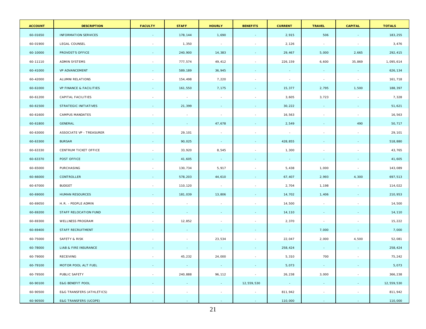| <b>ACCOUNT</b> | <b>DESCRIPTION</b>                 | <b>FACULTY</b>           | <b>STAFF</b> | <b>HOURLY</b> | <b>BENEFITS</b>          | <b>CURRENT</b> | <b>TRAVEL</b>            | <b>CAPITAL</b>           | <b>TOTALS</b> |
|----------------|------------------------------------|--------------------------|--------------|---------------|--------------------------|----------------|--------------------------|--------------------------|---------------|
| 60-01650       | <b>INFORMATION SERVICES</b>        | $\sim$                   | 178,144      | 1,690         |                          | 2,915          | 506                      | $\sim$                   | 183,255       |
| 60-01900       | LEGAL COUNSEL                      | $\overline{\phantom{a}}$ | 1,350        | $\sim$        | $\sim$                   | 2,126          | $\sim$                   | $\overline{\phantom{a}}$ | 3,476         |
| 60-10000       | PROVOST'S OFFICE                   | $\sim$                   | 240,900      | 14,383        | $\sim$                   | 29,467         | 5,000                    | 2,665                    | 292,415       |
| 60-11110       | <b>ADMIN SYSTEMS</b>               |                          | 777,574      | 49,412        |                          | 226,159        | 6,600                    | 35,869                   | 1,095,614     |
| 60-41000       | VP ADVANCEMENT                     | $\sim$                   | 589,189      | 36,945        |                          | <b>Section</b> | $\sim$                   | $\sim$                   | 626,134       |
| 60-42000       | ALUMNI RELATIONS                   |                          | 154,498      | 7,220         |                          | $\sim$         | $\sim$                   | $\sim$                   | 161,718       |
| 60-61000       | <b>VP FINANCE &amp; FACILITIES</b> |                          | 161,550      | 7,175         |                          | 15,377         | 2,795                    | 1,500                    | 188,397       |
| 60-61200       | CAPITAL FACILITIES                 | $\overline{\phantom{a}}$ | $\sim$       | $\sim$        |                          | 3,605          | 3,723                    | $\sim$                   | 7,328         |
| 60-61500       | STRATEGIC INITIATIVES              | $\sim$                   | 21,399       | $\sim$        | $\sim$                   | 30,222         | $\sim$                   | $\sim$                   | 51,621        |
| 60-61600       | CAMPUS MANDATES                    | $\overline{\phantom{a}}$ | $\sim$       | $\sim$        | $\sim$                   | 16,563         | $\sim$                   | $\sim$                   | 16,563        |
| 60-61800       | GENERAL                            | $\sim$                   | $\sim$       | 47,678        | $\sim$                   | 2,549          | $\sim$                   | 490                      | 50,717        |
| 60-63000       | ASSOCIATE VP - TREASURER           | $\overline{\phantom{a}}$ | 29,101       | $\sim$        | $\overline{\phantom{a}}$ | $\sim$         | $\overline{\phantom{a}}$ | $\sim$                   | 29,101        |
| 60-63300       | <b>BURSAR</b>                      | $\sim$                   | 90,025       | $\sim$ $-$    | $\overline{\phantom{a}}$ | 428,855        | $\sim$                   | $\sim$                   | 518,880       |
| 60-63330       | CENTRUM TICKET OFFICE              |                          | 33,920       | 8,545         | $\sim$                   | 1,300          | $\sim$                   | $\sim$                   | 43,765        |
| 60-63370       | POST OFFICE                        | $\sim$                   | 41,605       | $\sim$ $-$    | ٠                        | $\sim$ $-$     | $\sim$                   | $\sim$                   | 41,605        |
| 60-65000       | PURCHASING                         | $\overline{\phantom{a}}$ | 130,734      | 5,917         | $\sim$                   | 5,438          | 1,000                    | $\sim$                   | 143,089       |
| 60-66000       | CONTROLLER                         | $\sim$                   | 578,203      | 44,610        | $\sim$                   | 67,407         | 2,993                    | 4,300                    | 697,513       |
| 60-67000       | <b>BUDGET</b>                      | $\overline{\phantom{a}}$ | 110,120      | $\sim$ $\sim$ | $\sim$                   | 2,704          | 1,198                    | $\sim$                   | 114,022       |
| 60-69000       | <b>HUMAN RESOURCES</b>             | $\sim$                   | 181,039      | 13,806        | $\sim$                   | 14,702         | 1,406                    | $\sim$                   | 210,953       |
| 60-69050       | H.R. - PEOPLE ADMIN                |                          | $\sim$       | $\sim$        |                          | 14,500         | $\sim$                   | $\overline{\phantom{a}}$ | 14,500        |
| 60-69200       | STAFF RELOCATION FUND              | $\sim$                   | $\sim$       |               |                          | 14,110         | $\sim$                   |                          | 14,110        |
| 60-69300       | <b>WELLNESS PROGRAM</b>            |                          | 12,852       |               | $\sim$                   | 2,370          | $\sim$                   | $\sim$                   | 15,222        |
| 60-69400       | <b>STAFF RECRUITMENT</b>           |                          | $\sim$       | $\sim$        |                          | $\sim$ $-$     | 7,000                    | $\sim$                   | 7,000         |
| 60-75000       | SAFETY & RISK                      | $\overline{\phantom{a}}$ | $\sim$       | 23,534        | $\sim$                   | 22,047         | 2,000                    | 4,500                    | 52,081        |
| 60-78000       | LIAB & FIRE INSURANCE              |                          | $\sim$       | $\sim$        | $\sim$                   | 258,424        | $\sim$                   | $\sim$                   | 258,424       |
| 60-79000       | RECEIVING                          |                          | 45,232       | 24,000        |                          | 5,310          | 700                      |                          | 75,242        |
| 60-79100       | MOTOR POOL ALT FUEL                | $\sim$                   | $\sim$       | $\sim$        | $\sim$                   | 5,073          | $\sim$                   | $\sim$                   | 5,073         |
| 60-79500       | PUBLIC SAFETY                      | $\sim$                   | 240,888      | 96,112        | $\sim$                   | 26,238         | 3,000                    | $\overline{\phantom{a}}$ | 366,238       |
| 60-90100       | <b>E&amp;G BENEFIT POOL</b>        | $\sim$                   | $\sim$       | $\sim$        | 12,559,530               | $\sim$         | $\sim$                   | $\sim$                   | 12,559,530    |
| 60-90500       | E&G TRANSFERS (ATHLETICS)          | $\sim$                   | $\sim$       | $\sim$        | $\sim$                   | 811,942        | $\sim$                   | $\sim$                   | 811,942       |
| 60-90500       | <b>E&amp;G TRANSFERS (UCOPE)</b>   | $\sim$                   | $\sim$       | $\sim$        | $\sim$                   | 110,000        | $\sim$                   | $\sim$                   | 110,000       |